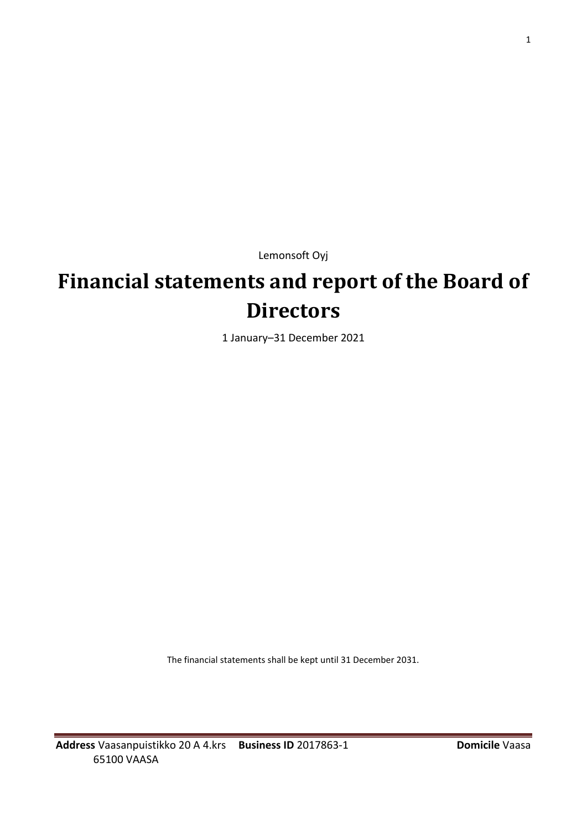Lemonsoft Oyj

# **Financial statements and report of the Board of Directors**

1 January–31 December 2021

The financial statements shall be kept until 31 December 2031.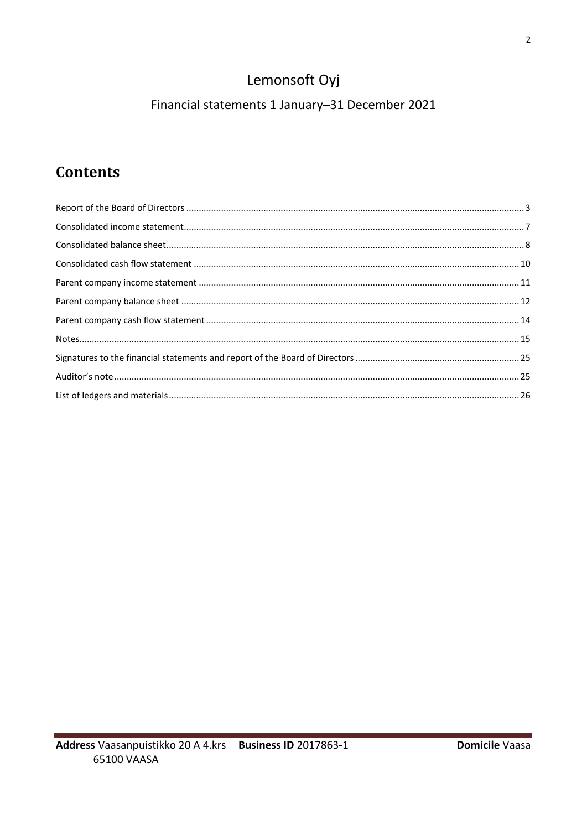# Lemonsoft Oyj

## Financial statements 1 January-31 December 2021

# **Contents**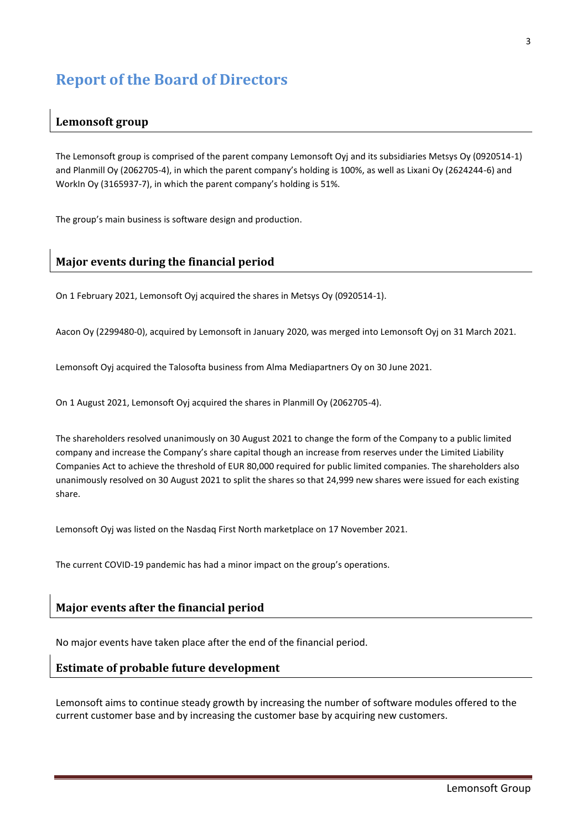## <span id="page-2-0"></span>**Report of the Board of Directors**

## **Lemonsoft group**

The Lemonsoft group is comprised of the parent company Lemonsoft Oyj and its subsidiaries Metsys Oy (0920514-1) and Planmill Oy (2062705-4), in which the parent company's holding is 100%, as well as Lixani Oy (2624244-6) and WorkIn Oy (3165937-7), in which the parent company's holding is 51%.

The group's main business is software design and production.

## **Major events during the financial period**

On 1 February 2021, Lemonsoft Oyj acquired the shares in Metsys Oy (0920514-1).

Aacon Oy (2299480-0), acquired by Lemonsoft in January 2020, was merged into Lemonsoft Oyj on 31 March 2021.

Lemonsoft Oyj acquired the Talosofta business from Alma Mediapartners Oy on 30 June 2021.

On 1 August 2021, Lemonsoft Oyj acquired the shares in Planmill Oy (2062705-4).

The shareholders resolved unanimously on 30 August 2021 to change the form of the Company to a public limited company and increase the Company's share capital though an increase from reserves under the Limited Liability Companies Act to achieve the threshold of EUR 80,000 required for public limited companies. The shareholders also unanimously resolved on 30 August 2021 to split the shares so that 24,999 new shares were issued for each existing share.

Lemonsoft Oyj was listed on the Nasdaq First North marketplace on 17 November 2021.

The current COVID-19 pandemic has had a minor impact on the group's operations.

## **Major events after the financial period**

No major events have taken place after the end of the financial period.

## **Estimate of probable future development**

Lemonsoft aims to continue steady growth by increasing the number of software modules offered to the current customer base and by increasing the customer base by acquiring new customers.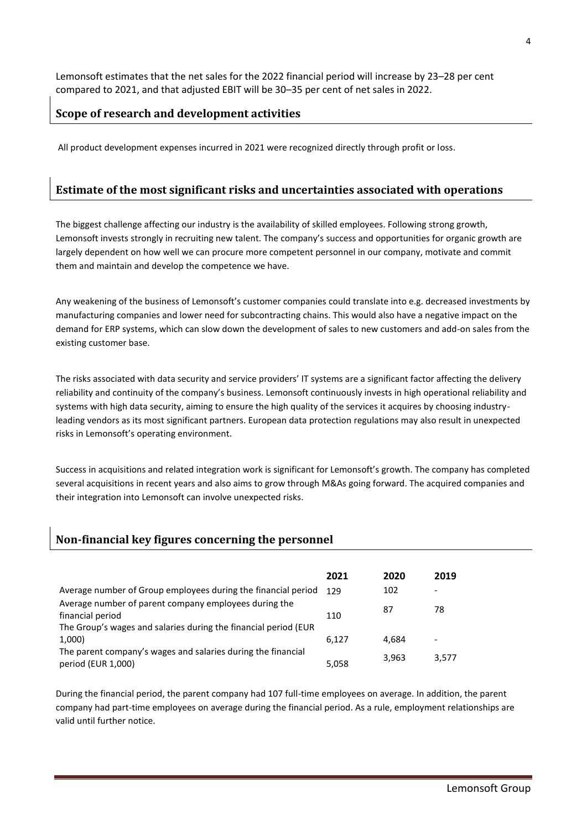Lemonsoft estimates that the net sales for the 2022 financial period will increase by 23–28 per cent compared to 2021, and that adjusted EBIT will be 30–35 per cent of net sales in 2022.

## **Scope of research and development activities**

All product development expenses incurred in 2021 were recognized directly through profit or loss.

## **Estimate of the most significant risks and uncertainties associated with operations**

The biggest challenge affecting our industry is the availability of skilled employees. Following strong growth, Lemonsoft invests strongly in recruiting new talent. The company's success and opportunities for organic growth are largely dependent on how well we can procure more competent personnel in our company, motivate and commit them and maintain and develop the competence we have.

Any weakening of the business of Lemonsoft's customer companies could translate into e.g. decreased investments by manufacturing companies and lower need for subcontracting chains. This would also have a negative impact on the demand for ERP systems, which can slow down the development of sales to new customers and add-on sales from the existing customer base.

The risks associated with data security and service providers' IT systems are a significant factor affecting the delivery reliability and continuity of the company's business. Lemonsoft continuously invests in high operational reliability and systems with high data security, aiming to ensure the high quality of the services it acquires by choosing industryleading vendors as its most significant partners. European data protection regulations may also result in unexpected risks in Lemonsoft's operating environment.

Success in acquisitions and related integration work is significant for Lemonsoft's growth. The company has completed several acquisitions in recent years and also aims to grow through M&As going forward. The acquired companies and their integration into Lemonsoft can involve unexpected risks.

## **Non-financial key figures concerning the personnel**

|                                                                                    | 2021  | 2020  | 2019                     |
|------------------------------------------------------------------------------------|-------|-------|--------------------------|
| Average number of Group employees during the financial period                      | 129   | 102   | $\overline{\phantom{0}}$ |
| Average number of parent company employees during the<br>financial period          | 110   | 87    | 78                       |
| The Group's wages and salaries during the financial period (EUR                    |       |       |                          |
| 1,000)                                                                             | 6,127 | 4,684 | $\overline{\phantom{0}}$ |
| The parent company's wages and salaries during the financial<br>period (EUR 1,000) | 5,058 | 3,963 | 3,577                    |

During the financial period, the parent company had 107 full-time employees on average. In addition, the parent company had part-time employees on average during the financial period. As a rule, employment relationships are valid until further notice.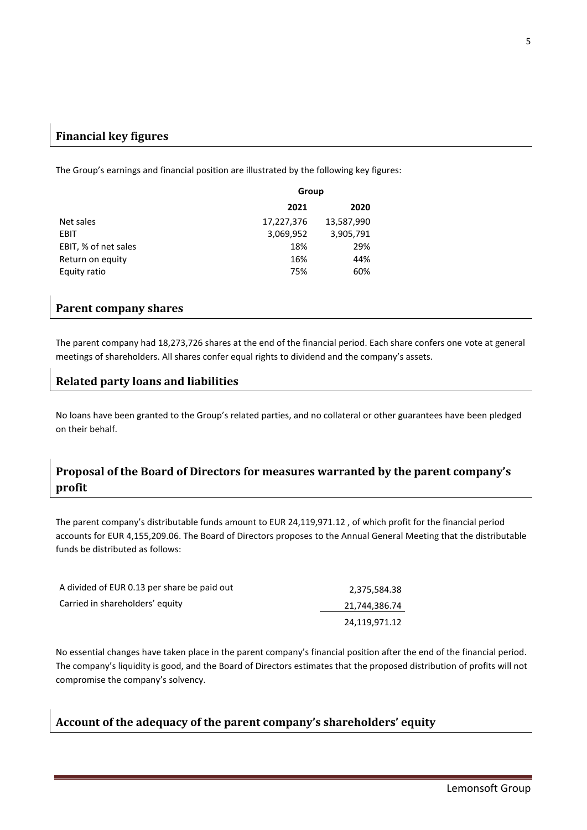## **Financial key figures**

The Group's earnings and financial position are illustrated by the following key figures:

|                      | Group      |            |
|----------------------|------------|------------|
|                      | 2021       | 2020       |
| Net sales            | 17,227,376 | 13,587,990 |
| <b>EBIT</b>          | 3,069,952  | 3,905,791  |
| EBIT, % of net sales | 18%        | 29%        |
| Return on equity     | 16%        | 44%        |
| Equity ratio         | 75%        | 60%        |

## **Parent company shares**

The parent company had 18,273,726 shares at the end of the financial period. Each share confers one vote at general meetings of shareholders. All shares confer equal rights to dividend and the company's assets.

## **Related party loans and liabilities**

No loans have been granted to the Group's related parties, and no collateral or other guarantees have been pledged on their behalf.

## **Proposal of the Board of Directors for measures warranted by the parent company's profit**

The parent company's distributable funds amount to EUR 24,119,971.12 , of which profit for the financial period accounts for EUR 4,155,209.06. The Board of Directors proposes to the Annual General Meeting that the distributable funds be distributed as follows:

| A divided of EUR 0.13 per share be paid out | 2,375,584.38  |
|---------------------------------------------|---------------|
| Carried in shareholders' equity             | 21,744,386.74 |
|                                             | 24.119.971.12 |

No essential changes have taken place in the parent company's financial position after the end of the financial period. The company's liquidity is good, and the Board of Directors estimates that the proposed distribution of profits will not compromise the company's solvency.

## **Account of the adequacy of the parent company's shareholders' equity**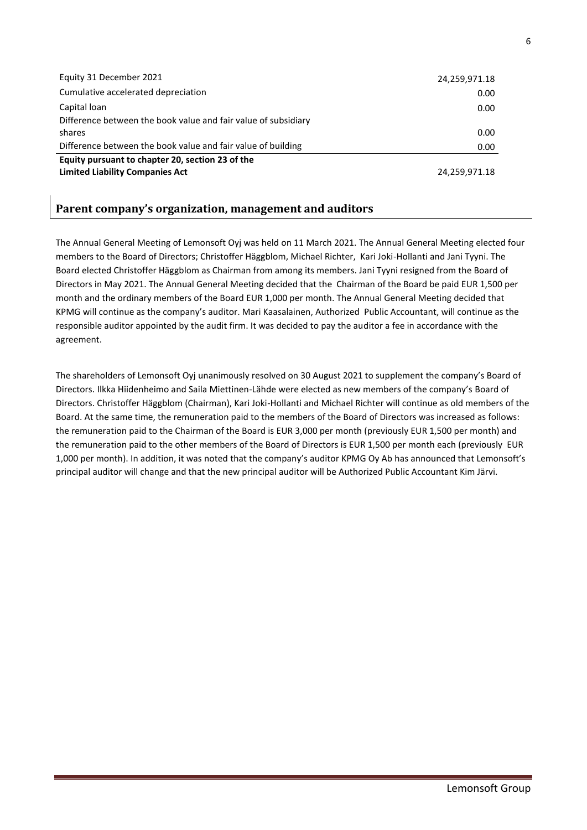| Equity 31 December 2021                                        | 24,259,971.18 |
|----------------------------------------------------------------|---------------|
| Cumulative accelerated depreciation                            | 0.00          |
| Capital loan                                                   | 0.00          |
| Difference between the book value and fair value of subsidiary |               |
| shares                                                         | 0.00          |
| Difference between the book value and fair value of building   | 0.00          |
| Equity pursuant to chapter 20, section 23 of the               |               |
| <b>Limited Liability Companies Act</b>                         | 24,259,971.18 |

## **Parent company's organization, management and auditors**

The Annual General Meeting of Lemonsoft Oyj was held on 11 March 2021. The Annual General Meeting elected four members to the Board of Directors; Christoffer Häggblom, Michael Richter, Kari Joki-Hollanti and Jani Tyyni. The Board elected Christoffer Häggblom as Chairman from among its members. Jani Tyyni resigned from the Board of Directors in May 2021. The Annual General Meeting decided that the Chairman of the Board be paid EUR 1,500 per month and the ordinary members of the Board EUR 1,000 per month. The Annual General Meeting decided that KPMG will continue as the company's auditor. Mari Kaasalainen, Authorized Public Accountant, will continue as the responsible auditor appointed by the audit firm. It was decided to pay the auditor a fee in accordance with the agreement.

The shareholders of Lemonsoft Oyj unanimously resolved on 30 August 2021 to supplement the company's Board of Directors. Ilkka Hiidenheimo and Saila Miettinen-Lähde were elected as new members of the company's Board of Directors. Christoffer Häggblom (Chairman), Kari Joki-Hollanti and Michael Richter will continue as old members of the Board. At the same time, the remuneration paid to the members of the Board of Directors was increased as follows: the remuneration paid to the Chairman of the Board is EUR 3,000 per month (previously EUR 1,500 per month) and the remuneration paid to the other members of the Board of Directors is EUR 1,500 per month each (previously EUR 1,000 per month). In addition, it was noted that the company's auditor KPMG Oy Ab has announced that Lemonsoft's principal auditor will change and that the new principal auditor will be Authorized Public Accountant Kim Järvi.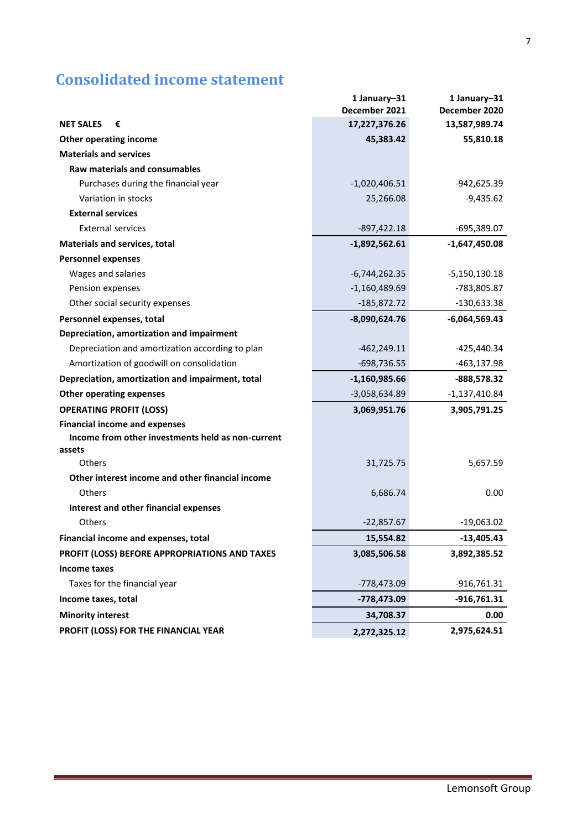## <span id="page-6-0"></span>**Consolidated income statement**

|                                                   | 1 January-31    | 1 January-31    |
|---------------------------------------------------|-----------------|-----------------|
|                                                   | December 2021   | December 2020   |
| <b>NET SALES</b><br>€                             | 17,227,376.26   | 13,587,989.74   |
| <b>Other operating income</b>                     | 45,383.42       | 55,810.18       |
| <b>Materials and services</b>                     |                 |                 |
| <b>Raw materials and consumables</b>              |                 |                 |
| Purchases during the financial year               | $-1,020,406.51$ | -942,625.39     |
| Variation in stocks                               | 25,266.08       | $-9,435.62$     |
| <b>External services</b>                          |                 |                 |
| <b>External services</b>                          | $-897,422.18$   | $-695,389.07$   |
| <b>Materials and services, total</b>              | $-1,892,562.61$ | $-1,647,450.08$ |
| <b>Personnel expenses</b>                         |                 |                 |
| Wages and salaries                                | $-6,744,262.35$ | $-5,150,130.18$ |
| Pension expenses                                  | $-1,160,489.69$ | -783,805.87     |
| Other social security expenses                    | $-185,872.72$   | $-130,633.38$   |
| Personnel expenses, total                         | $-8,090,624.76$ | $-6,064,569.43$ |
| Depreciation, amortization and impairment         |                 |                 |
| Depreciation and amortization according to plan   | $-462,249.11$   | -425,440.34     |
| Amortization of goodwill on consolidation         | $-698,736.55$   | -463,137.98     |
| Depreciation, amortization and impairment, total  | $-1,160,985.66$ | -888,578.32     |
| <b>Other operating expenses</b>                   | $-3,058,634.89$ | $-1,137,410.84$ |
| <b>OPERATING PROFIT (LOSS)</b>                    | 3,069,951.76    | 3,905,791.25    |
| <b>Financial income and expenses</b>              |                 |                 |
| Income from other investments held as non-current |                 |                 |
| assets                                            |                 |                 |
| Others                                            | 31,725.75       | 5,657.59        |
| Other interest income and other financial income  |                 |                 |
| Others                                            | 6,686.74        | 0.00            |
| Interest and other financial expenses             |                 |                 |
| Others                                            | $-22,857.67$    | $-19,063.02$    |
| Financial income and expenses, total              | 15,554.82       | $-13,405.43$    |
| PROFIT (LOSS) BEFORE APPROPRIATIONS AND TAXES     | 3,085,506.58    | 3,892,385.52    |
| <b>Income taxes</b>                               |                 |                 |
| Taxes for the financial year                      | -778,473.09     | $-916,761.31$   |
| Income taxes, total                               | -778,473.09     | -916,761.31     |
| <b>Minority interest</b>                          | 34,708.37       | 0.00            |
| PROFIT (LOSS) FOR THE FINANCIAL YEAR              | 2,272,325.12    | 2,975,624.51    |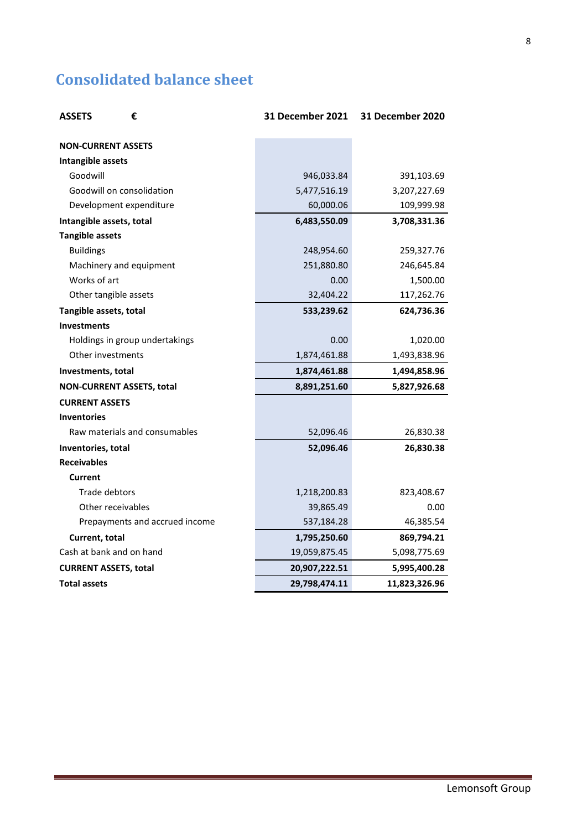## <span id="page-7-0"></span>**Consolidated balance sheet**

| <b>ASSETS</b><br>€               | <b>31 December 2021</b> | 31 December 2020 |
|----------------------------------|-------------------------|------------------|
| <b>NON-CURRENT ASSETS</b>        |                         |                  |
| Intangible assets                |                         |                  |
| Goodwill                         | 946,033.84              | 391,103.69       |
| Goodwill on consolidation        | 5,477,516.19            | 3,207,227.69     |
| Development expenditure          | 60,000.06               | 109,999.98       |
| Intangible assets, total         | 6,483,550.09            | 3,708,331.36     |
| <b>Tangible assets</b>           |                         |                  |
| <b>Buildings</b>                 | 248,954.60              | 259,327.76       |
| Machinery and equipment          | 251,880.80              | 246,645.84       |
| Works of art                     | 0.00                    | 1,500.00         |
| Other tangible assets            | 32,404.22               | 117,262.76       |
| Tangible assets, total           | 533,239.62              | 624,736.36       |
| <b>Investments</b>               |                         |                  |
| Holdings in group undertakings   | 0.00                    | 1,020.00         |
| Other investments                | 1,874,461.88            | 1,493,838.96     |
| Investments, total               | 1,874,461.88            | 1,494,858.96     |
| <b>NON-CURRENT ASSETS, total</b> | 8,891,251.60            | 5,827,926.68     |
| <b>CURRENT ASSETS</b>            |                         |                  |
| <b>Inventories</b>               |                         |                  |
| Raw materials and consumables    | 52,096.46               | 26,830.38        |
| Inventories, total               | 52,096.46               | 26,830.38        |
| <b>Receivables</b>               |                         |                  |
| <b>Current</b>                   |                         |                  |
| Trade debtors                    | 1,218,200.83            | 823,408.67       |
| Other receivables                | 39,865.49               | 0.00             |
| Prepayments and accrued income   | 537,184.28              | 46,385.54        |
| Current, total                   | 1,795,250.60            | 869,794.21       |
| Cash at bank and on hand         | 19,059,875.45           | 5,098,775.69     |
| <b>CURRENT ASSETS, total</b>     | 20,907,222.51           | 5,995,400.28     |
| <b>Total assets</b>              | 29,798,474.11           | 11,823,326.96    |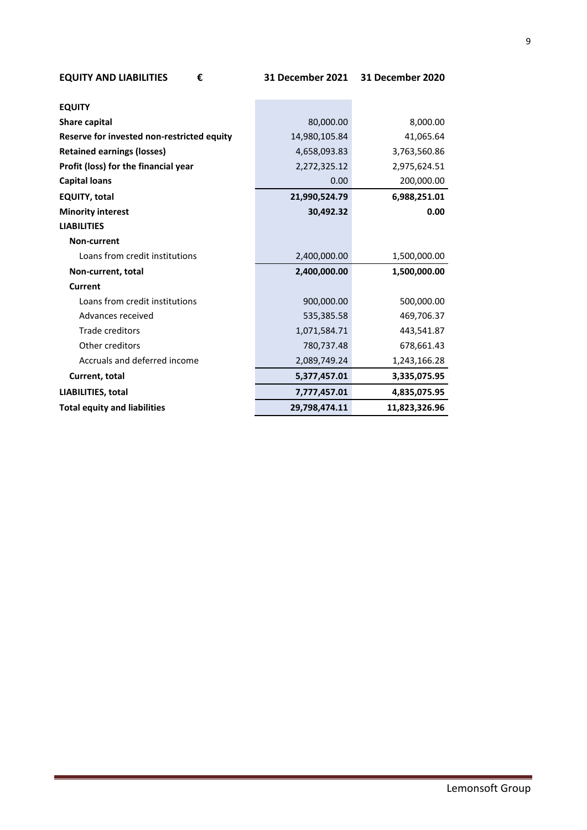| <b>EQUITY AND LIABILITIES</b><br>€         | 31 December 2021 | <b>31 December 2020</b> |
|--------------------------------------------|------------------|-------------------------|
|                                            |                  |                         |
| <b>EQUITY</b>                              |                  |                         |
| Share capital                              | 80,000.00        | 8,000.00                |
| Reserve for invested non-restricted equity | 14,980,105.84    | 41,065.64               |
| <b>Retained earnings (losses)</b>          | 4,658,093.83     | 3,763,560.86            |
| Profit (loss) for the financial year       | 2,272,325.12     | 2,975,624.51            |
| <b>Capital loans</b>                       | 0.00             | 200,000.00              |
| <b>EQUITY, total</b>                       | 21,990,524.79    | 6,988,251.01            |
| <b>Minority interest</b>                   | 30,492.32        | 0.00                    |
| <b>LIABILITIES</b>                         |                  |                         |
| <b>Non-current</b>                         |                  |                         |
| Loans from credit institutions             | 2,400,000.00     | 1,500,000.00            |
| Non-current, total                         | 2,400,000.00     | 1,500,000.00            |
| Current                                    |                  |                         |
| Loans from credit institutions             | 900,000.00       | 500,000.00              |
| Advances received                          | 535,385.58       | 469,706.37              |
| Trade creditors                            | 1,071,584.71     | 443,541.87              |
| Other creditors                            | 780,737.48       | 678,661.43              |
| Accruals and deferred income               | 2,089,749.24     | 1,243,166.28            |
| Current, total                             | 5,377,457.01     | 3,335,075.95            |
| LIABILITIES, total                         | 7,777,457.01     | 4,835,075.95            |
| <b>Total equity and liabilities</b>        | 29,798,474.11    | 11,823,326.96           |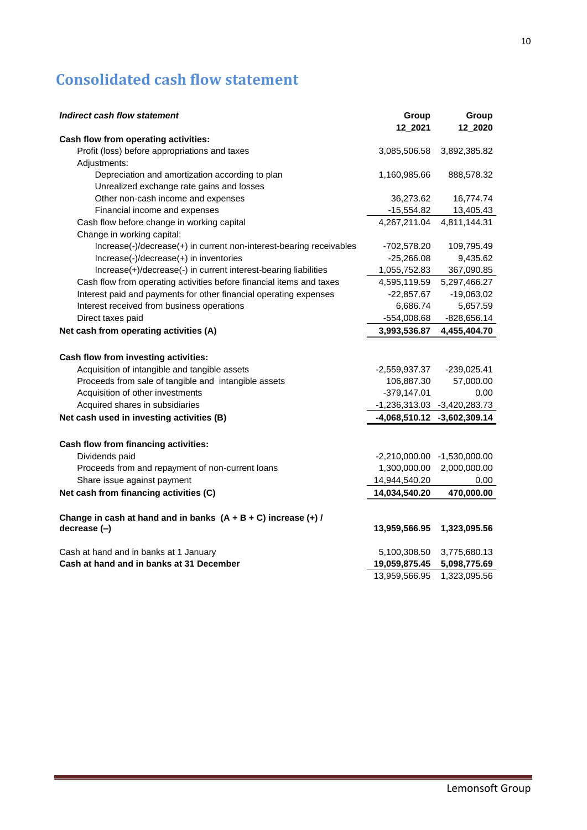# <span id="page-9-0"></span>**Consolidated cash flow statement**

| Indirect cash flow statement                                         | Group<br>12_2021 | Group<br>12_2020            |
|----------------------------------------------------------------------|------------------|-----------------------------|
| Cash flow from operating activities:                                 |                  |                             |
| Profit (loss) before appropriations and taxes                        | 3,085,506.58     | 3,892,385.82                |
| Adjustments:                                                         |                  |                             |
| Depreciation and amortization according to plan                      | 1,160,985.66     | 888,578.32                  |
| Unrealized exchange rate gains and losses                            |                  |                             |
| Other non-cash income and expenses                                   | 36,273.62        | 16,774.74                   |
| Financial income and expenses                                        | $-15,554.82$     | 13,405.43                   |
| Cash flow before change in working capital                           | 4,267,211.04     | 4,811,144.31                |
| Change in working capital:                                           |                  |                             |
| Increase(-)/decrease(+) in current non-interest-bearing receivables  | $-702,578.20$    | 109,795.49                  |
| Increase(-)/decrease(+) in inventories                               | $-25,266.08$     | 9,435.62                    |
| Increase(+)/decrease(-) in current interest-bearing liabilities      | 1,055,752.83     | 367,090.85                  |
| Cash flow from operating activities before financial items and taxes | 4,595,119.59     | 5,297,466.27                |
| Interest paid and payments for other financial operating expenses    | $-22,857.67$     | $-19,063.02$                |
| Interest received from business operations                           | 6,686.74         | 5,657.59                    |
| Direct taxes paid                                                    | -554,008.68      | -828,656.14                 |
| Net cash from operating activities (A)                               | 3,993,536.87     | 4,455,404.70                |
|                                                                      |                  |                             |
| Cash flow from investing activities:                                 |                  |                             |
| Acquisition of intangible and tangible assets                        | $-2,559,937.37$  | $-239,025.41$               |
| Proceeds from sale of tangible and intangible assets                 | 106,887.30       | 57,000.00                   |
| Acquisition of other investments                                     | $-379,147.01$    | 0.00                        |
| Acquired shares in subsidiaries                                      |                  | -1,236,313.03 -3,420,283.73 |
| Net cash used in investing activities (B)                            |                  | -4,068,510.12 -3,602,309.14 |
| Cash flow from financing activities:                                 |                  |                             |
| Dividends paid                                                       | $-2,210,000.00$  | $-1,530,000.00$             |
| Proceeds from and repayment of non-current loans                     | 1,300,000.00     | 2,000,000.00                |
| Share issue against payment                                          | 14,944,540.20    | 0.00                        |
| Net cash from financing activities (C)                               | 14,034,540.20    | 470,000.00                  |
| Change in cash at hand and in banks $(A + B + C)$ increase $(+)$ /   |                  |                             |
| decrease (-)                                                         | 13,959,566.95    | 1,323,095.56                |
| Cash at hand and in banks at 1 January                               | 5,100,308.50     | 3,775,680.13                |
| Cash at hand and in banks at 31 December                             | 19,059,875.45    | 5,098,775.69                |
|                                                                      | 13,959,566.95    | 1,323,095.56                |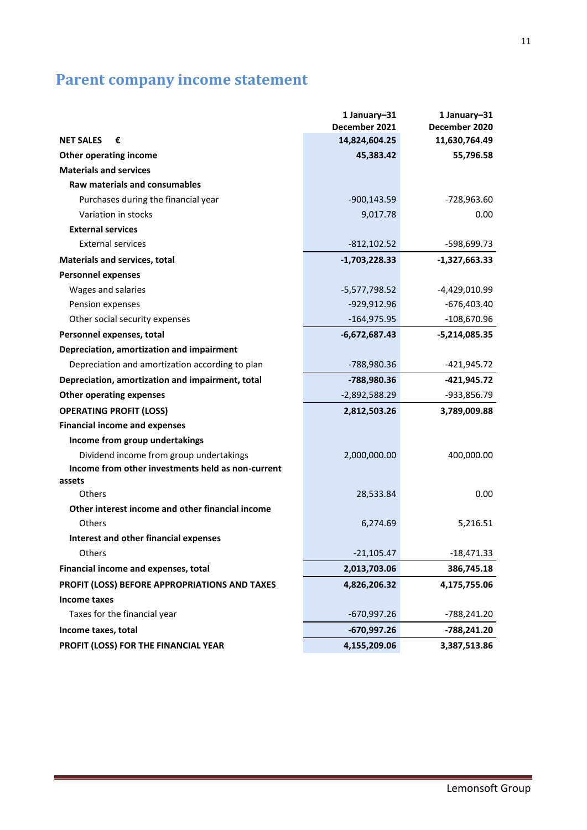# <span id="page-10-0"></span>**Parent company income statement**

|                                                   | 1 January-31    | 1 January-31    |
|---------------------------------------------------|-----------------|-----------------|
|                                                   | December 2021   | December 2020   |
| <b>NET SALES</b><br>€                             | 14,824,604.25   | 11,630,764.49   |
| <b>Other operating income</b>                     | 45,383.42       | 55,796.58       |
| <b>Materials and services</b>                     |                 |                 |
| <b>Raw materials and consumables</b>              |                 |                 |
| Purchases during the financial year               | $-900, 143.59$  | -728,963.60     |
| Variation in stocks                               | 9,017.78        | 0.00            |
| <b>External services</b>                          |                 |                 |
| <b>External services</b>                          | $-812, 102.52$  | -598,699.73     |
| <b>Materials and services, total</b>              | $-1,703,228.33$ | $-1,327,663.33$ |
| <b>Personnel expenses</b>                         |                 |                 |
| Wages and salaries                                | $-5,577,798.52$ | -4,429,010.99   |
| Pension expenses                                  | -929,912.96     | $-676,403.40$   |
| Other social security expenses                    | $-164,975.95$   | $-108,670.96$   |
| Personnel expenses, total                         | $-6,672,687.43$ | $-5,214,085.35$ |
| Depreciation, amortization and impairment         |                 |                 |
| Depreciation and amortization according to plan   | -788,980.36     | -421,945.72     |
| Depreciation, amortization and impairment, total  | -788,980.36     | -421,945.72     |
| <b>Other operating expenses</b>                   | $-2,892,588.29$ | -933,856.79     |
| <b>OPERATING PROFIT (LOSS)</b>                    | 2,812,503.26    | 3,789,009.88    |
| <b>Financial income and expenses</b>              |                 |                 |
| Income from group undertakings                    |                 |                 |
| Dividend income from group undertakings           | 2,000,000.00    | 400,000.00      |
| Income from other investments held as non-current |                 |                 |
| assets                                            |                 |                 |
| Others                                            | 28,533.84       | 0.00            |
| Other interest income and other financial income  |                 |                 |
| Others                                            | 6,274.69        | 5,216.51        |
| <b>Interest and other financial expenses</b>      |                 |                 |
| Others                                            | $-21,105.47$    | $-18,471.33$    |
| Financial income and expenses, total              | 2,013,703.06    | 386,745.18      |
| PROFIT (LOSS) BEFORE APPROPRIATIONS AND TAXES     | 4,826,206.32    | 4,175,755.06    |
| <b>Income taxes</b>                               |                 |                 |
| Taxes for the financial year                      | $-670,997.26$   | -788,241.20     |
| Income taxes, total                               | $-670,997.26$   | -788,241.20     |
| PROFIT (LOSS) FOR THE FINANCIAL YEAR              | 4,155,209.06    | 3,387,513.86    |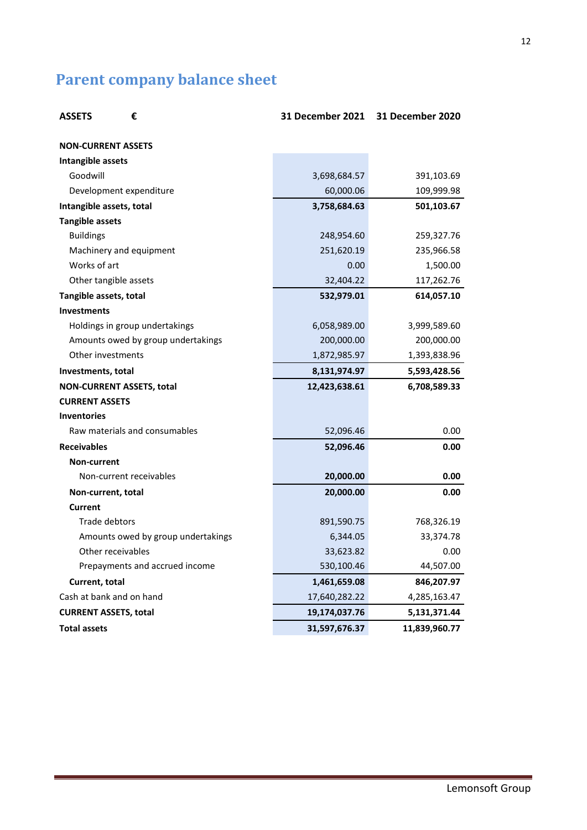# <span id="page-11-0"></span>**Parent company balance sheet**

| <b>ASSETS</b><br>€                 | <b>31 December 2021</b> | 31 December 2020 |
|------------------------------------|-------------------------|------------------|
| <b>NON-CURRENT ASSETS</b>          |                         |                  |
| Intangible assets                  |                         |                  |
| Goodwill                           | 3,698,684.57            | 391,103.69       |
| Development expenditure            | 60,000.06               | 109,999.98       |
| Intangible assets, total           | 3,758,684.63            | 501,103.67       |
| <b>Tangible assets</b>             |                         |                  |
| <b>Buildings</b>                   | 248,954.60              | 259,327.76       |
| Machinery and equipment            | 251,620.19              | 235,966.58       |
| Works of art                       | 0.00                    | 1,500.00         |
| Other tangible assets              | 32,404.22               | 117,262.76       |
| Tangible assets, total             | 532,979.01              | 614,057.10       |
| <b>Investments</b>                 |                         |                  |
| Holdings in group undertakings     | 6,058,989.00            | 3,999,589.60     |
| Amounts owed by group undertakings | 200,000.00              | 200,000.00       |
| Other investments                  | 1,872,985.97            | 1,393,838.96     |
| Investments, total                 | 8,131,974.97            | 5,593,428.56     |
| <b>NON-CURRENT ASSETS, total</b>   | 12,423,638.61           | 6,708,589.33     |
| <b>CURRENT ASSETS</b>              |                         |                  |
| <b>Inventories</b>                 |                         |                  |
| Raw materials and consumables      | 52,096.46               | 0.00             |
| <b>Receivables</b>                 | 52,096.46               | 0.00             |
| Non-current                        |                         |                  |
| Non-current receivables            | 20,000.00               | 0.00             |
| Non-current, total                 | 20,000.00               | 0.00             |
| <b>Current</b>                     |                         |                  |
| Trade debtors                      | 891,590.75              | 768,326.19       |
| Amounts owed by group undertakings | 6,344.05                | 33,374.78        |
| Other receivables                  | 33,623.82               | 0.00             |
| Prepayments and accrued income     | 530,100.46              | 44,507.00        |
| Current, total                     | 1,461,659.08            | 846,207.97       |
| Cash at bank and on hand           | 17,640,282.22           | 4,285,163.47     |
| <b>CURRENT ASSETS, total</b>       | 19,174,037.76           | 5,131,371.44     |
| <b>Total assets</b>                | 31,597,676.37           | 11,839,960.77    |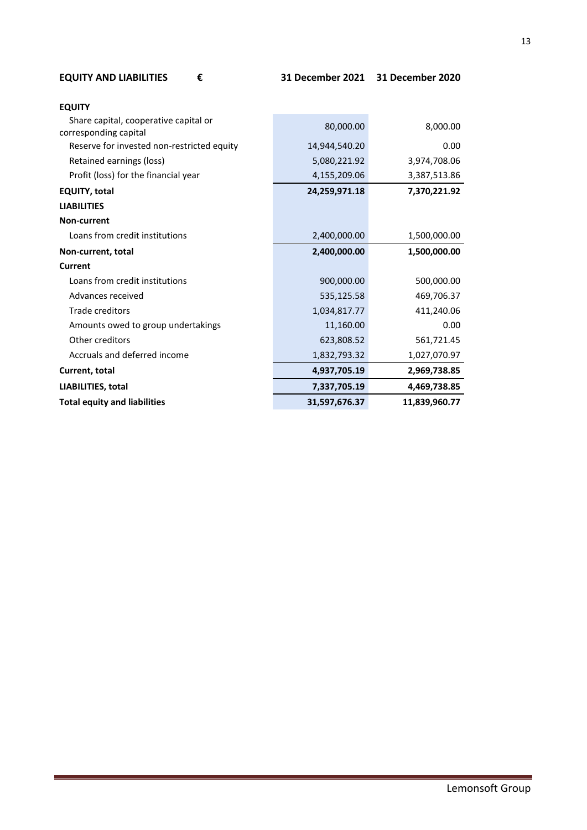| <b>EQUITY AND LIABILITIES</b> |  |
|-------------------------------|--|
|-------------------------------|--|

| <b>EQUITY</b>                              |               |               |
|--------------------------------------------|---------------|---------------|
| Share capital, cooperative capital or      | 80,000.00     | 8,000.00      |
| corresponding capital                      |               |               |
| Reserve for invested non-restricted equity | 14,944,540.20 | 0.00          |
| Retained earnings (loss)                   | 5,080,221.92  | 3,974,708.06  |
| Profit (loss) for the financial year       | 4,155,209.06  | 3,387,513.86  |
| <b>EQUITY, total</b>                       | 24,259,971.18 | 7,370,221.92  |
| <b>LIABILITIES</b>                         |               |               |
| Non-current                                |               |               |
| Loans from credit institutions             | 2,400,000.00  | 1,500,000.00  |
| Non-current, total                         | 2,400,000.00  | 1,500,000.00  |
| Current                                    |               |               |
| Loans from credit institutions             | 900,000.00    | 500,000.00    |
| Advances received                          | 535,125.58    | 469,706.37    |
| Trade creditors                            | 1,034,817.77  | 411,240.06    |
| Amounts owed to group undertakings         | 11,160.00     | 0.00          |
| Other creditors                            | 623,808.52    | 561,721.45    |
| Accruals and deferred income               | 1,832,793.32  | 1,027,070.97  |
| Current, total                             | 4,937,705.19  | 2,969,738.85  |
| LIABILITIES, total                         | 7,337,705.19  | 4,469,738.85  |
| <b>Total equity and liabilities</b>        | 31,597,676.37 | 11,839,960.77 |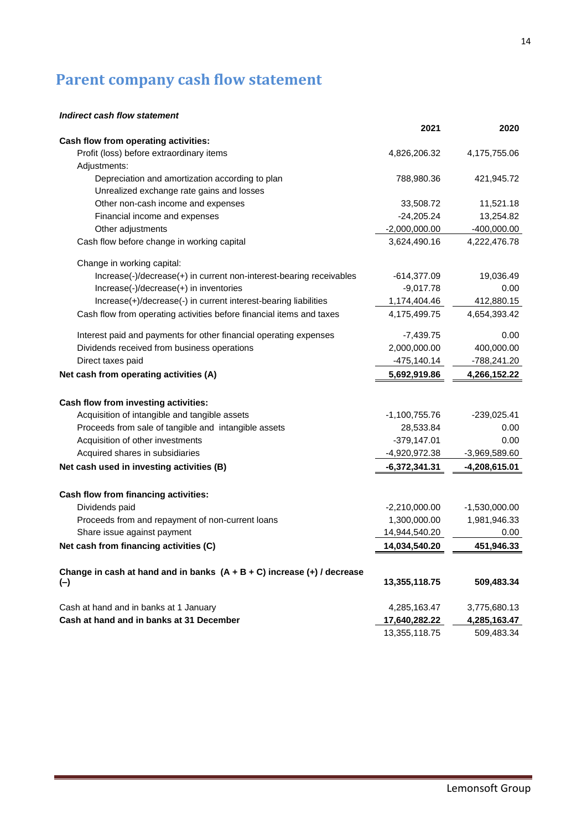# <span id="page-13-0"></span>**Parent company cash flow statement**

### *Indirect cash flow statement*

|                                                                             | 2021            | 2020            |
|-----------------------------------------------------------------------------|-----------------|-----------------|
| Cash flow from operating activities:                                        |                 |                 |
| Profit (loss) before extraordinary items                                    | 4,826,206.32    | 4,175,755.06    |
| Adjustments:                                                                |                 |                 |
| Depreciation and amortization according to plan                             | 788,980.36      | 421,945.72      |
| Unrealized exchange rate gains and losses                                   |                 |                 |
| Other non-cash income and expenses                                          | 33,508.72       | 11,521.18       |
| Financial income and expenses                                               | $-24,205.24$    | 13,254.82       |
| Other adjustments                                                           | $-2,000,000.00$ | $-400,000.00$   |
| Cash flow before change in working capital                                  | 3,624,490.16    | 4,222,476.78    |
| Change in working capital:                                                  |                 |                 |
| Increase(-)/decrease(+) in current non-interest-bearing receivables         | $-614,377.09$   | 19,036.49       |
| Increase(-)/decrease(+) in inventories                                      | $-9,017.78$     | 0.00            |
| Increase(+)/decrease(-) in current interest-bearing liabilities             | 1,174,404.46    | 412,880.15      |
| Cash flow from operating activities before financial items and taxes        | 4,175,499.75    | 4,654,393.42    |
| Interest paid and payments for other financial operating expenses           | -7,439.75       | 0.00            |
| Dividends received from business operations                                 | 2,000,000.00    | 400,000.00      |
| Direct taxes paid                                                           | $-475, 140.14$  | -788,241.20     |
| Net cash from operating activities (A)                                      | 5,692,919.86    | 4,266,152.22    |
| Cash flow from investing activities:                                        |                 |                 |
| Acquisition of intangible and tangible assets                               | -1,100,755.76   | $-239,025.41$   |
| Proceeds from sale of tangible and intangible assets                        | 28,533.84       | 0.00            |
| Acquisition of other investments                                            | $-379,147.01$   | 0.00            |
| Acquired shares in subsidiaries                                             | -4,920,972.38   | $-3,969,589.60$ |
| Net cash used in investing activities (B)                                   | $-6,372,341.31$ | $-4,208,615.01$ |
|                                                                             |                 |                 |
| Cash flow from financing activities:                                        |                 |                 |
| Dividends paid                                                              | $-2,210,000.00$ | $-1,530,000.00$ |
| Proceeds from and repayment of non-current loans                            | 1,300,000.00    | 1,981,946.33    |
| Share issue against payment                                                 | 14,944,540.20   | $0.00\,$        |
| Net cash from financing activities (C)                                      | 14,034,540.20   | 451,946.33      |
| Change in cash at hand and in banks $(A + B + C)$ increase $(+)$ / decrease |                 |                 |
| $(-)$                                                                       | 13,355,118.75   | 509,483.34      |
| Cash at hand and in banks at 1 January                                      | 4,285,163.47    | 3,775,680.13    |
| Cash at hand and in banks at 31 December                                    | 17,640,282.22   | 4,285,163.47    |
|                                                                             | 13,355,118.75   | 509,483.34      |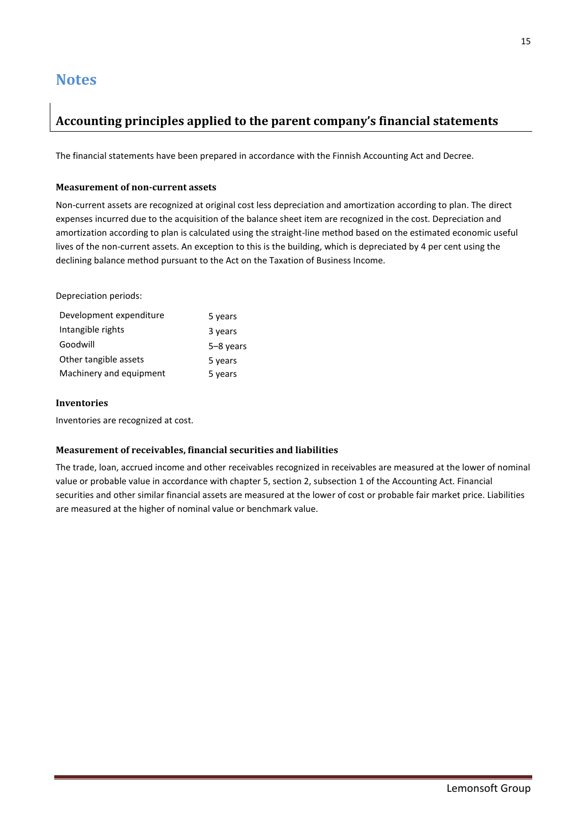## <span id="page-14-0"></span>**Notes**

## **Accounting principles applied to the parent company's financial statements**

The financial statements have been prepared in accordance with the Finnish Accounting Act and Decree.

### **Measurement of non-current assets**

Non-current assets are recognized at original cost less depreciation and amortization according to plan. The direct expenses incurred due to the acquisition of the balance sheet item are recognized in the cost. Depreciation and amortization according to plan is calculated using the straight-line method based on the estimated economic useful lives of the non-current assets. An exception to this is the building, which is depreciated by 4 per cent using the declining balance method pursuant to the Act on the Taxation of Business Income.

Depreciation periods:

| Development expenditure | 5 years   |
|-------------------------|-----------|
| Intangible rights       | 3 years   |
| Goodwill                | 5-8 years |
| Other tangible assets   | 5 years   |
| Machinery and equipment | 5 years   |

#### **Inventories**

Inventories are recognized at cost.

### **Measurement of receivables, financial securities and liabilities**

The trade, loan, accrued income and other receivables recognized in receivables are measured at the lower of nominal value or probable value in accordance with chapter 5, section 2, subsection 1 of the Accounting Act. Financial securities and other similar financial assets are measured at the lower of cost or probable fair market price. Liabilities are measured at the higher of nominal value or benchmark value.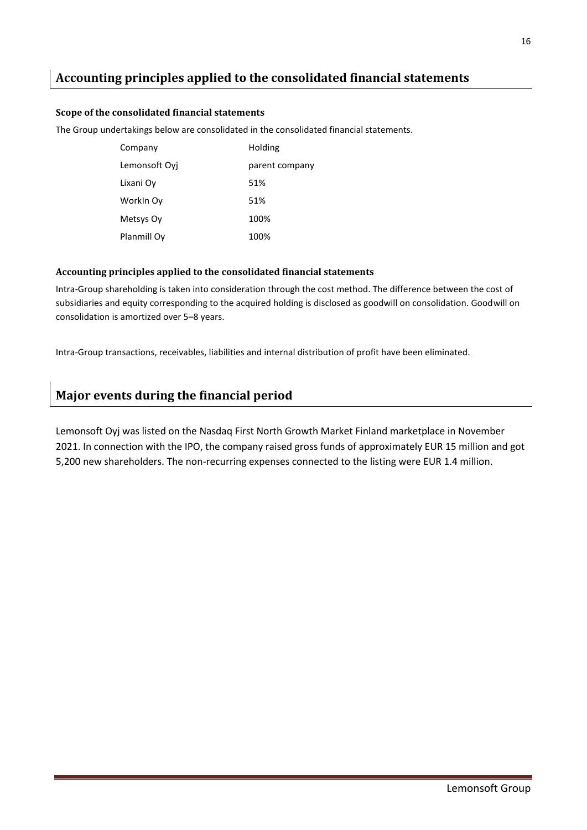## **Accounting principles applied to the consolidated financial statements**

#### **Scope of the consolidated financial statements**

The Group undertakings below are consolidated in the consolidated financial statements.

| Company       | Holding        |
|---------------|----------------|
| Lemonsoft Ovi | parent company |
| Lixani Ov     | 51%            |
| Workin Oy     | 51%            |
| Metsys Oy     | 100%           |
| Planmill Oy   | 100%           |

#### **Accounting principles applied to the consolidated financial statements**

Intra-Group shareholding is taken into consideration through the cost method. The difference between the cost of subsidiaries and equity corresponding to the acquired holding is disclosed as goodwill on consolidation. Goodwill on consolidation is amortized over 5–8 years.

Intra-Group transactions, receivables, liabilities and internal distribution of profit have been eliminated.

## **Major events during the financial period**

Lemonsoft Oyj was listed on the Nasdaq First North Growth Market Finland marketplace in November 2021. In connection with the IPO, the company raised gross funds of approximately EUR 15 million and got 5,200 new shareholders. The non-recurring expenses connected to the listing were EUR 1.4 million.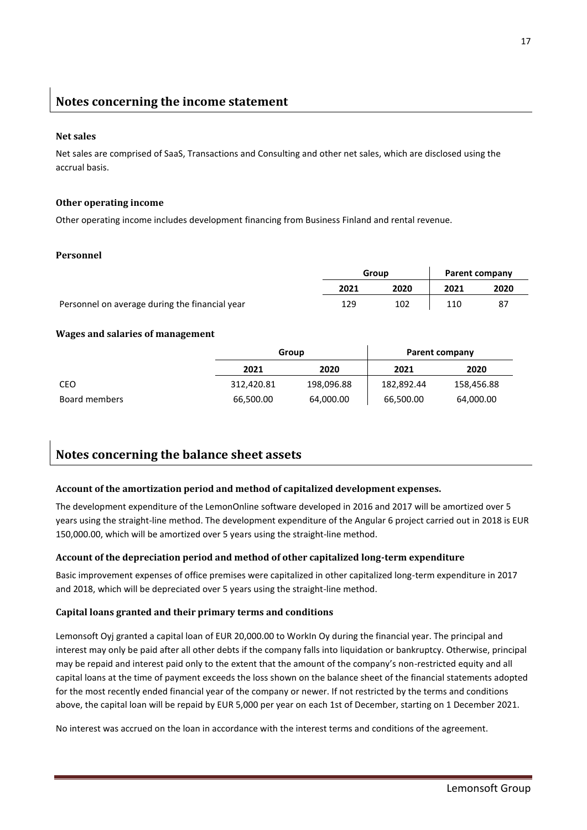## **Notes concerning the income statement**

#### **Net sales**

Net sales are comprised of SaaS, Transactions and Consulting and other net sales, which are disclosed using the accrual basis.

#### **Other operating income**

Other operating income includes development financing from Business Finland and rental revenue.

### **Personnel**

|                                                | Group |      | Parent company |      |
|------------------------------------------------|-------|------|----------------|------|
|                                                | 2021  | 2020 | 2021           | 2020 |
| Personnel on average during the financial year | 129   | 102  | 110            | 87   |

#### **Wages and salaries of management**

|               | Group      |            | Parent company |            |
|---------------|------------|------------|----------------|------------|
|               | 2021       | 2020       | 2021           | 2020       |
| CEO           | 312,420.81 | 198,096.88 | 182.892.44     | 158,456.88 |
| Board members | 66,500.00  | 64,000.00  | 66,500.00      | 64,000.00  |

## **Notes concerning the balance sheet assets**

### **Account of the amortization period and method of capitalized development expenses.**

The development expenditure of the LemonOnline software developed in 2016 and 2017 will be amortized over 5 years using the straight-line method. The development expenditure of the Angular 6 project carried out in 2018 is EUR 150,000.00, which will be amortized over 5 years using the straight-line method.

### **Account of the depreciation period and method of other capitalized long-term expenditure**

Basic improvement expenses of office premises were capitalized in other capitalized long-term expenditure in 2017 and 2018, which will be depreciated over 5 years using the straight-line method.

### **Capital loans granted and their primary terms and conditions**

Lemonsoft Oyj granted a capital loan of EUR 20,000.00 to WorkIn Oy during the financial year. The principal and interest may only be paid after all other debts if the company falls into liquidation or bankruptcy. Otherwise, principal may be repaid and interest paid only to the extent that the amount of the company's non-restricted equity and all capital loans at the time of payment exceeds the loss shown on the balance sheet of the financial statements adopted for the most recently ended financial year of the company or newer. If not restricted by the terms and conditions above, the capital loan will be repaid by EUR 5,000 per year on each 1st of December, starting on 1 December 2021.

No interest was accrued on the loan in accordance with the interest terms and conditions of the agreement.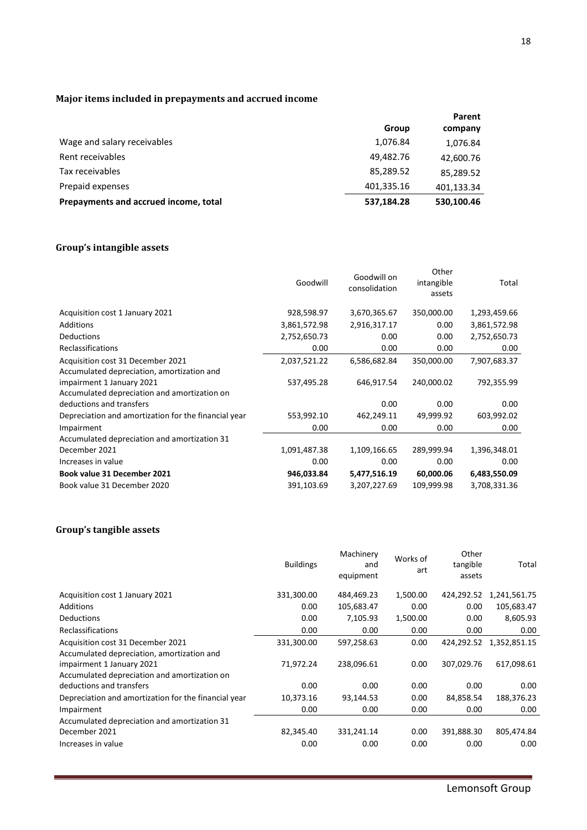## **Major items included in prepayments and accrued income**

|                                       |            | Parent     |
|---------------------------------------|------------|------------|
|                                       | Group      | company    |
| Wage and salary receivables           | 1,076.84   | 1,076.84   |
| Rent receivables                      | 49,482.76  | 42,600.76  |
| Tax receivables                       | 85,289.52  | 85,289.52  |
| Prepaid expenses                      | 401,335.16 | 401,133.34 |
| Prepayments and accrued income, total | 537,184.28 | 530,100.46 |

## **Group's intangible assets**

|                                                      | Goodwill     | Goodwill on<br>consolidation | Other<br>intangible<br>assets | Total        |
|------------------------------------------------------|--------------|------------------------------|-------------------------------|--------------|
| Acquisition cost 1 January 2021                      | 928,598.97   | 3,670,365.67                 | 350,000.00                    | 1,293,459.66 |
| <b>Additions</b>                                     | 3,861,572.98 | 2,916,317.17                 | 0.00                          | 3,861,572.98 |
| <b>Deductions</b>                                    | 2,752,650.73 | 0.00                         | 0.00                          | 2,752,650.73 |
| <b>Reclassifications</b>                             | 0.00         | 0.00                         | 0.00                          | 0.00         |
| Acquisition cost 31 December 2021                    | 2,037,521.22 | 6,586,682.84                 | 350,000.00                    | 7,907,683.37 |
| Accumulated depreciation, amortization and           |              |                              |                               |              |
| impairment 1 January 2021                            | 537,495.28   | 646,917.54                   | 240,000.02                    | 792,355.99   |
| Accumulated depreciation and amortization on         |              |                              |                               |              |
| deductions and transfers                             |              | 0.00                         | 0.00                          | 0.00         |
| Depreciation and amortization for the financial year | 553,992.10   | 462,249.11                   | 49,999.92                     | 603,992.02   |
| Impairment                                           | 0.00         | 0.00                         | 0.00                          | 0.00         |
| Accumulated depreciation and amortization 31         |              |                              |                               |              |
| December 2021                                        | 1,091,487.38 | 1,109,166.65                 | 289,999.94                    | 1,396,348.01 |
| Increases in value                                   | 0.00         | 0.00                         | 0.00                          | 0.00         |
| Book value 31 December 2021                          | 946,033.84   | 5,477,516.19                 | 60,000.06                     | 6,483,550.09 |
| Book value 31 December 2020                          | 391,103.69   | 3,207,227.69                 | 109,999.98                    | 3,708,331.36 |

## **Group's tangible assets**

|                                                                                                                         | <b>Buildings</b> | Machinery<br>and<br>equipment | Works of<br>art | Other<br>tangible<br>assets | Total        |
|-------------------------------------------------------------------------------------------------------------------------|------------------|-------------------------------|-----------------|-----------------------------|--------------|
| Acquisition cost 1 January 2021                                                                                         | 331,300.00       | 484,469.23                    | 1,500.00        | 424,292.52                  | 1,241,561.75 |
| Additions                                                                                                               | 0.00             | 105,683.47                    | 0.00            | 0.00                        | 105,683.47   |
| <b>Deductions</b>                                                                                                       | 0.00             | 7,105.93                      | 1,500.00        | 0.00                        | 8,605.93     |
| Reclassifications                                                                                                       | 0.00             | 0.00                          | 0.00            | 0.00                        | 0.00         |
| Acquisition cost 31 December 2021                                                                                       | 331,300.00       | 597,258.63                    | 0.00            | 424.292.52                  | 1,352,851.15 |
| Accumulated depreciation, amortization and<br>impairment 1 January 2021<br>Accumulated depreciation and amortization on | 71,972.24        | 238,096.61                    | 0.00            | 307,029.76                  | 617,098.61   |
| deductions and transfers                                                                                                | 0.00             | 0.00                          | 0.00            | 0.00                        | 0.00         |
| Depreciation and amortization for the financial year                                                                    | 10,373.16        | 93,144.53                     | 0.00            | 84,858.54                   | 188,376.23   |
| Impairment                                                                                                              | 0.00             | 0.00                          | 0.00            | 0.00                        | 0.00         |
| Accumulated depreciation and amortization 31                                                                            |                  |                               |                 |                             |              |
| December 2021                                                                                                           | 82,345.40        | 331,241.14                    | 0.00            | 391,888.30                  | 805,474.84   |
| Increases in value                                                                                                      | 0.00             | 0.00                          | 0.00            | 0.00                        | 0.00         |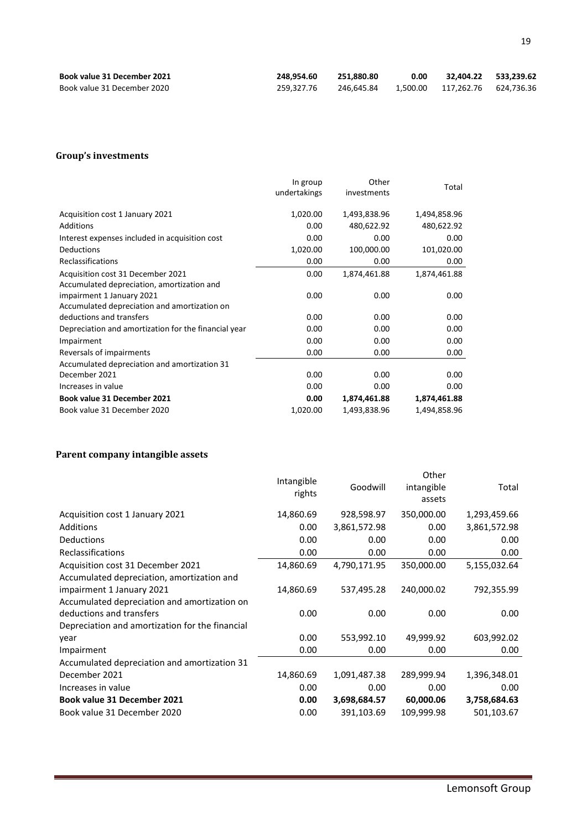| <b>Book value 31 December 2021</b> | 248.954.60 | 251.880.80 | 0.00 | 32.404.22 533.239.62             |  |
|------------------------------------|------------|------------|------|----------------------------------|--|
| Book value 31 December 2020        | 259.327.76 | 246.645.84 |      | 1.500.00  117.262.76  624.736.36 |  |

#### **Group's investments**

|                                                      | In group<br>undertakings | Other<br>investments | Total        |
|------------------------------------------------------|--------------------------|----------------------|--------------|
| Acquisition cost 1 January 2021                      | 1,020.00                 | 1,493,838.96         | 1,494,858.96 |
| Additions                                            | 0.00                     | 480,622.92           | 480,622.92   |
| Interest expenses included in acquisition cost       | 0.00                     | 0.00                 | 0.00         |
| Deductions                                           | 1,020.00                 | 100,000.00           | 101,020.00   |
| Reclassifications                                    | 0.00                     | 0.00                 | 0.00         |
| Acquisition cost 31 December 2021                    | 0.00                     | 1,874,461.88         | 1,874,461.88 |
| Accumulated depreciation, amortization and           |                          |                      |              |
| impairment 1 January 2021                            | 0.00                     | 0.00                 | 0.00         |
| Accumulated depreciation and amortization on         |                          |                      |              |
| deductions and transfers                             | 0.00                     | 0.00                 | 0.00         |
| Depreciation and amortization for the financial year | 0.00                     | 0.00                 | 0.00         |
| Impairment                                           | 0.00                     | 0.00                 | 0.00         |
| Reversals of impairments                             | 0.00                     | 0.00                 | 0.00         |
| Accumulated depreciation and amortization 31         |                          |                      |              |
| December 2021                                        | 0.00                     | 0.00                 | 0.00         |
| Increases in value                                   | 0.00                     | 0.00                 | 0.00         |
| <b>Book value 31 December 2021</b>                   | 0.00                     | 1,874,461.88         | 1,874,461.88 |
| Book value 31 December 2020                          | 1,020.00                 | 1,493,838.96         | 1,494,858.96 |

## **Parent company intangible assets**

|                                                 | Intangible<br>rights | Goodwill     | Other<br>intangible<br>assets | Total        |
|-------------------------------------------------|----------------------|--------------|-------------------------------|--------------|
| Acquisition cost 1 January 2021                 | 14,860.69            | 928,598.97   | 350,000.00                    | 1,293,459.66 |
| <b>Additions</b>                                | 0.00                 | 3,861,572.98 | 0.00                          | 3,861,572.98 |
| <b>Deductions</b>                               | 0.00                 | 0.00         | 0.00                          | 0.00         |
| Reclassifications                               | 0.00                 | 0.00         | 0.00                          | 0.00         |
| Acquisition cost 31 December 2021               | 14,860.69            | 4,790,171.95 | 350,000.00                    | 5,155,032.64 |
| Accumulated depreciation, amortization and      |                      |              |                               |              |
| impairment 1 January 2021                       | 14,860.69            | 537,495.28   | 240,000.02                    | 792,355.99   |
| Accumulated depreciation and amortization on    |                      |              |                               |              |
| deductions and transfers                        | 0.00                 | 0.00         | 0.00                          | 0.00         |
| Depreciation and amortization for the financial |                      |              |                               |              |
| year                                            | 0.00                 | 553,992.10   | 49,999.92                     | 603,992.02   |
| Impairment                                      | 0.00                 | 0.00         | 0.00                          | 0.00         |
| Accumulated depreciation and amortization 31    |                      |              |                               |              |
| December 2021                                   | 14,860.69            | 1,091,487.38 | 289,999.94                    | 1,396,348.01 |
| Increases in value                              | 0.00                 | 0.00         | 0.00                          | 0.00         |
| <b>Book value 31 December 2021</b>              | 0.00                 | 3,698,684.57 | 60,000.06                     | 3,758,684.63 |
| Book value 31 December 2020                     | 0.00                 | 391,103.69   | 109,999.98                    | 501,103.67   |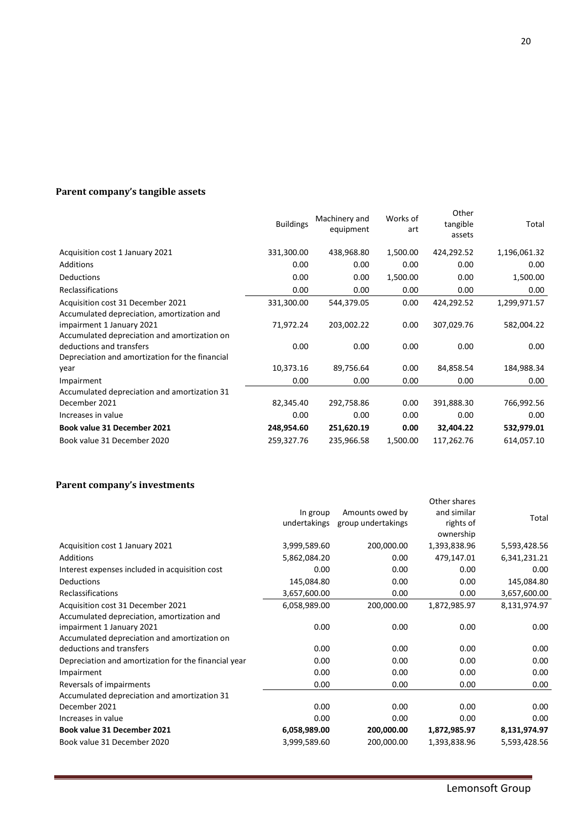## **Parent company's tangible assets**

|                                                 | <b>Buildings</b> | Machinery and<br>equipment | Works of<br>art | Other<br>tangible<br>assets | Total        |
|-------------------------------------------------|------------------|----------------------------|-----------------|-----------------------------|--------------|
| Acquisition cost 1 January 2021                 | 331,300.00       | 438,968.80                 | 1,500.00        | 424,292.52                  | 1,196,061.32 |
| Additions                                       | 0.00             | 0.00                       | 0.00            | 0.00                        | 0.00         |
| Deductions                                      | 0.00             | 0.00                       | 1,500.00        | 0.00                        | 1,500.00     |
| <b>Reclassifications</b>                        | 0.00             | 0.00                       | 0.00            | 0.00                        | 0.00         |
| Acquisition cost 31 December 2021               | 331,300.00       | 544,379.05                 | 0.00            | 424,292.52                  | 1,299,971.57 |
| Accumulated depreciation, amortization and      |                  |                            |                 |                             |              |
| impairment 1 January 2021                       | 71,972.24        | 203,002.22                 | 0.00            | 307,029.76                  | 582,004.22   |
| Accumulated depreciation and amortization on    |                  |                            |                 |                             |              |
| deductions and transfers                        | 0.00             | 0.00                       | 0.00            | 0.00                        | 0.00         |
| Depreciation and amortization for the financial |                  |                            |                 |                             |              |
| year                                            | 10,373.16        | 89,756.64                  | 0.00            | 84,858.54                   | 184,988.34   |
| Impairment                                      | 0.00             | 0.00                       | 0.00            | 0.00                        | 0.00         |
| Accumulated depreciation and amortization 31    |                  |                            |                 |                             |              |
| December 2021                                   | 82,345.40        | 292,758.86                 | 0.00            | 391,888.30                  | 766,992.56   |
| Increases in value                              | 0.00             | 0.00                       | 0.00            | 0.00                        | 0.00         |
| <b>Book value 31 December 2021</b>              | 248,954.60       | 251,620.19                 | 0.00            | 32,404.22                   | 532,979.01   |
| Book value 31 December 2020                     | 259,327.76       | 235,966.58                 | 1,500.00        | 117,262.76                  | 614,057.10   |

## **Parent company's investments**

|                                                      | In group<br>undertakings | Amounts owed by<br>group undertakings | Other shares<br>and similar<br>rights of<br>ownership | Total        |
|------------------------------------------------------|--------------------------|---------------------------------------|-------------------------------------------------------|--------------|
| Acquisition cost 1 January 2021                      | 3,999,589.60             | 200,000.00                            | 1,393,838.96                                          | 5,593,428.56 |
| Additions                                            | 5,862,084.20             | 0.00                                  | 479,147.01                                            | 6,341,231.21 |
| Interest expenses included in acquisition cost       | 0.00                     | 0.00                                  | 0.00                                                  | 0.00         |
| Deductions                                           | 145,084.80               | 0.00                                  | 0.00                                                  | 145,084.80   |
| Reclassifications                                    | 3,657,600.00             | 0.00                                  | 0.00                                                  | 3,657,600.00 |
| Acquisition cost 31 December 2021                    | 6,058,989.00             | 200,000.00                            | 1,872,985.97                                          | 8,131,974.97 |
| Accumulated depreciation, amortization and           |                          |                                       |                                                       |              |
| impairment 1 January 2021                            | 0.00                     | 0.00                                  | 0.00                                                  | 0.00         |
| Accumulated depreciation and amortization on         |                          |                                       |                                                       |              |
| deductions and transfers                             | 0.00                     | 0.00                                  | 0.00                                                  | 0.00         |
| Depreciation and amortization for the financial year | 0.00                     | 0.00                                  | 0.00                                                  | 0.00         |
| Impairment                                           | 0.00                     | 0.00                                  | 0.00                                                  | 0.00         |
| Reversals of impairments                             | 0.00                     | 0.00                                  | 0.00                                                  | 0.00         |
| Accumulated depreciation and amortization 31         |                          |                                       |                                                       |              |
| December 2021                                        | 0.00                     | 0.00                                  | 0.00                                                  | 0.00         |
| Increases in value                                   | 0.00                     | 0.00                                  | 0.00                                                  | 0.00         |
| Book value 31 December 2021                          | 6,058,989.00             | 200,000.00                            | 1,872,985.97                                          | 8,131,974.97 |
| Book value 31 December 2020                          | 3,999,589.60             | 200,000.00                            | 1,393,838.96                                          | 5,593,428.56 |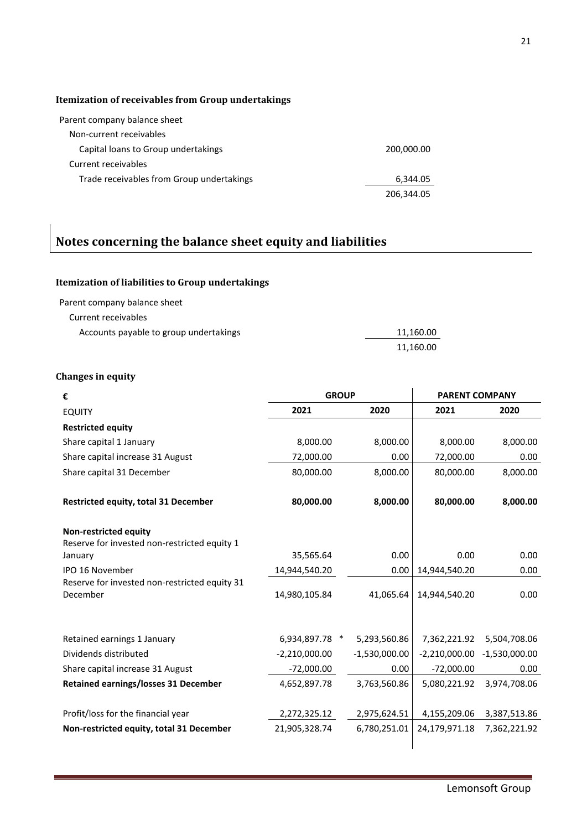## **Itemization of receivables from Group undertakings**

| Parent company balance sheet              |            |
|-------------------------------------------|------------|
| Non-current receivables                   |            |
| Capital loans to Group undertakings       | 200,000.00 |
| Current receivables                       |            |
| Trade receivables from Group undertakings | 6,344.05   |
|                                           | 206,344.05 |

## **Notes concerning the balance sheet equity and liabilities**

## **Itemization of liabilities to Group undertakings**

Parent company balance sheet

Current receivables

| Accounts payable to group undertakings | 11.160.00 |
|----------------------------------------|-----------|
|                                        | 11,160.00 |

## **Changes in equity**

| €                                                                            | <b>GROUP</b>    |                 | <b>PARENT COMPANY</b> |                 |
|------------------------------------------------------------------------------|-----------------|-----------------|-----------------------|-----------------|
| <b>EQUITY</b>                                                                | 2021            | 2020            | 2021                  | 2020            |
| <b>Restricted equity</b>                                                     |                 |                 |                       |                 |
| Share capital 1 January                                                      | 8,000.00        | 8,000.00        | 8,000.00              | 8,000.00        |
| Share capital increase 31 August                                             | 72,000.00       | 0.00            | 72,000.00             | 0.00            |
| Share capital 31 December                                                    | 80,000.00       | 8,000.00        | 80,000.00             | 8,000.00        |
| <b>Restricted equity, total 31 December</b>                                  | 80,000.00       | 8,000.00        | 80,000.00             | 8,000.00        |
| <b>Non-restricted equity</b><br>Reserve for invested non-restricted equity 1 |                 |                 |                       |                 |
| January                                                                      | 35,565.64       | 0.00            | 0.00                  | 0.00            |
| <b>IPO 16 November</b>                                                       | 14,944,540.20   | 0.00            | 14,944,540.20         | 0.00            |
| Reserve for invested non-restricted equity 31<br>December                    | 14,980,105.84   | 41,065.64       | 14,944,540.20         | 0.00            |
| Retained earnings 1 January                                                  | 6,934,897.78 *  | 5,293,560.86    | 7,362,221.92          | 5,504,708.06    |
| Dividends distributed                                                        | $-2,210,000.00$ | $-1,530,000.00$ | $-2,210,000.00$       | $-1,530,000.00$ |
| Share capital increase 31 August                                             | $-72,000.00$    | 0.00            | $-72,000.00$          | 0.00            |
| <b>Retained earnings/losses 31 December</b>                                  | 4,652,897.78    | 3,763,560.86    | 5,080,221.92          | 3,974,708.06    |
| Profit/loss for the financial year                                           | 2,272,325.12    | 2,975,624.51    | 4,155,209.06          | 3,387,513.86    |
| Non-restricted equity, total 31 December                                     | 21,905,328.74   | 6,780,251.01    | 24,179,971.18         | 7,362,221.92    |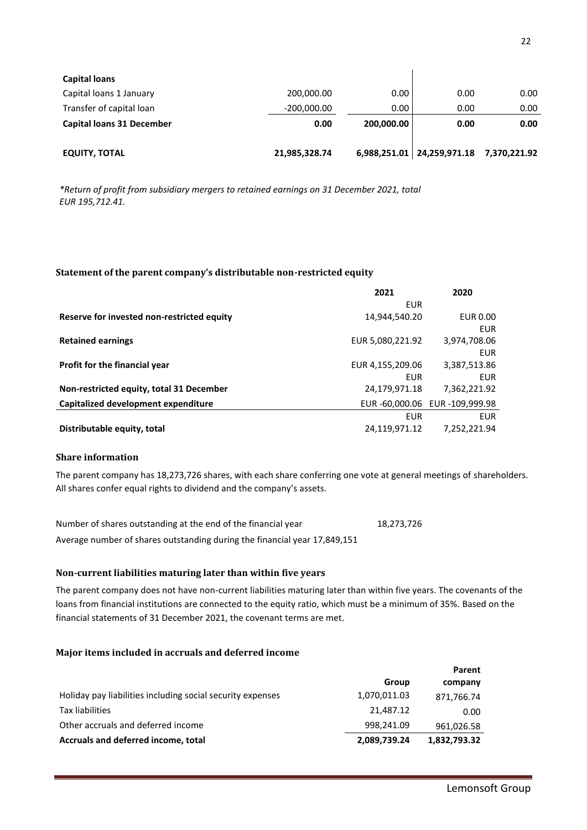| <b>Capital loans</b>             |               |            |                                           |      |
|----------------------------------|---------------|------------|-------------------------------------------|------|
| Capital loans 1 January          | 200,000.00    | 0.00       | 0.00                                      | 0.00 |
| Transfer of capital loan         | $-200,000.00$ | 0.00       | 0.00                                      | 0.00 |
| <b>Capital loans 31 December</b> | 0.00          | 200,000.00 | 0.00                                      | 0.00 |
|                                  |               |            |                                           |      |
| <b>EQUITY, TOTAL</b>             | 21,985,328.74 |            | 6,988,251.01   24,259,971.18 7,370,221.92 |      |

*\*Return of profit from subsidiary mergers to retained earnings on 31 December 2021, total EUR 195,712.41.*

#### **Statement of the parent company's distributable non-restricted equity**

|                                            | 2021             | 2020                         |
|--------------------------------------------|------------------|------------------------------|
|                                            | EUR              |                              |
| Reserve for invested non-restricted equity | 14,944,540.20    | EUR 0.00                     |
|                                            |                  | <b>EUR</b>                   |
| <b>Retained earnings</b>                   | EUR 5,080,221.92 | 3,974,708.06                 |
|                                            |                  | <b>EUR</b>                   |
| <b>Profit for the financial year</b>       | EUR 4,155,209.06 | 3,387,513.86                 |
|                                            | EUR              | EUR.                         |
| Non-restricted equity, total 31 December   | 24,179,971.18    | 7,362,221.92                 |
| Capitalized development expenditure        |                  | EUR-60,000.06 EUR-109,999.98 |
|                                            | EUR              | <b>EUR</b>                   |
| Distributable equity, total                | 24,119,971.12    | 7,252,221.94                 |

### **Share information**

The parent company has 18,273,726 shares, with each share conferring one vote at general meetings of shareholders. All shares confer equal rights to dividend and the company's assets.

Number of shares outstanding at the end of the financial year 18,273,726 Average number of shares outstanding during the financial year 17,849,151

#### **Non-current liabilities maturing later than within five years**

The parent company does not have non-current liabilities maturing later than within five years. The covenants of the loans from financial institutions are connected to the equity ratio, which must be a minimum of 35%. Based on the financial statements of 31 December 2021, the covenant terms are met.

#### **Major items included in accruals and deferred income**

|                                                            |              | Parent       |
|------------------------------------------------------------|--------------|--------------|
|                                                            | Group        | company      |
| Holiday pay liabilities including social security expenses | 1,070,011.03 | 871,766.74   |
| Tax liabilities                                            | 21,487.12    | 0.00         |
| Other accruals and deferred income                         | 998,241.09   | 961,026.58   |
| Accruals and deferred income, total                        | 2,089,739.24 | 1,832,793.32 |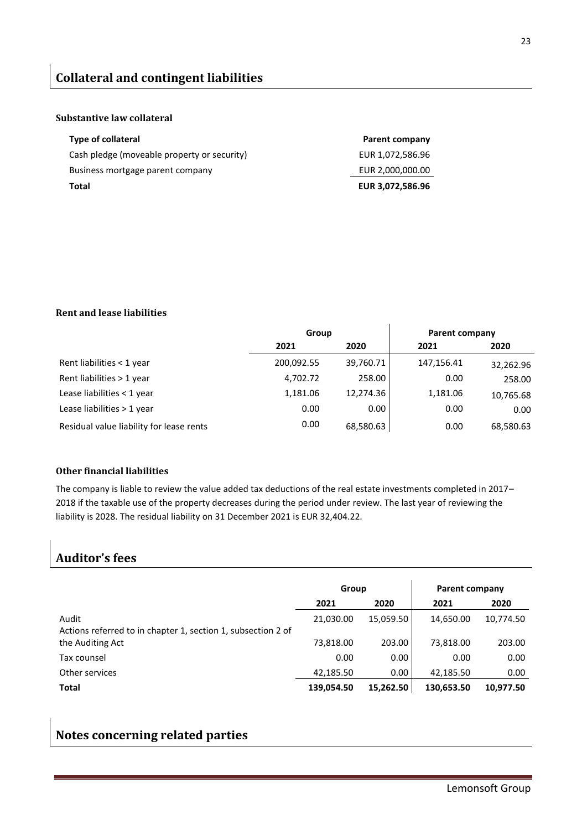#### **Substantive law collateral**

| Type of collateral                          | Parent company   |
|---------------------------------------------|------------------|
| Cash pledge (moveable property or security) | EUR 1,072,586.96 |
| Business mortgage parent company            | EUR 2,000,000.00 |
| Total                                       | EUR 3,072,586.96 |

#### **Rent and lease liabilities**

|                                          | Group      |           | Parent company |           |
|------------------------------------------|------------|-----------|----------------|-----------|
|                                          | 2021       | 2020      | 2021           | 2020      |
| Rent liabilities < 1 year                | 200,092.55 | 39,760.71 | 147,156.41     | 32,262.96 |
| Rent liabilities > 1 year                | 4,702.72   | 258.00    | 0.00           | 258.00    |
| Lease liabilities < 1 year               | 1,181.06   | 12,274.36 | 1,181.06       | 10,765.68 |
| Lease liabilities > 1 year               | 0.00       | 0.00      | 0.00           | 0.00      |
| Residual value liability for lease rents | 0.00       | 68,580.63 | 0.00           | 68,580.63 |

### **Other financial liabilities**

The company is liable to review the value added tax deductions of the real estate investments completed in 2017– 2018 if the taxable use of the property decreases during the period under review. The last year of reviewing the liability is 2028. The residual liability on 31 December 2021 is EUR 32,404.22.

## **Auditor's fees**

|                                                              | Group      |           | Parent company |           |
|--------------------------------------------------------------|------------|-----------|----------------|-----------|
|                                                              | 2021       | 2020      | 2021           | 2020      |
| Audit                                                        | 21,030.00  | 15,059.50 | 14,650.00      | 10,774.50 |
| Actions referred to in chapter 1, section 1, subsection 2 of |            |           |                |           |
| the Auditing Act                                             | 73,818.00  | 203.00    | 73,818.00      | 203.00    |
| Tax counsel                                                  | 0.00       | 0.00      | 0.00           | 0.00      |
| Other services                                               | 42,185.50  | 0.00      | 42,185.50      | 0.00      |
| <b>Total</b>                                                 | 139,054.50 | 15,262.50 | 130,653.50     | 10,977.50 |

## **Notes concerning related parties**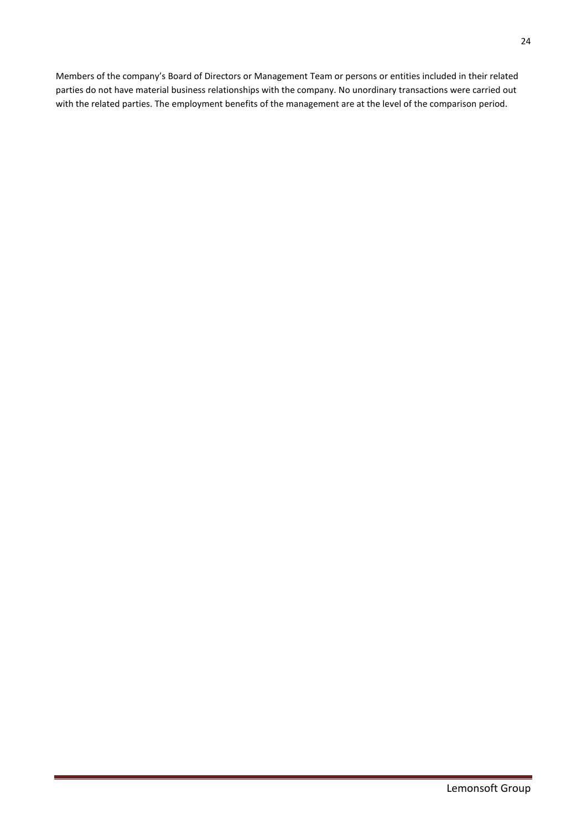Members of the company's Board of Directors or Management Team or persons or entities included in their related parties do not have material business relationships with the company. No unordinary transactions were carried out with the related parties. The employment benefits of the management are at the level of the comparison period.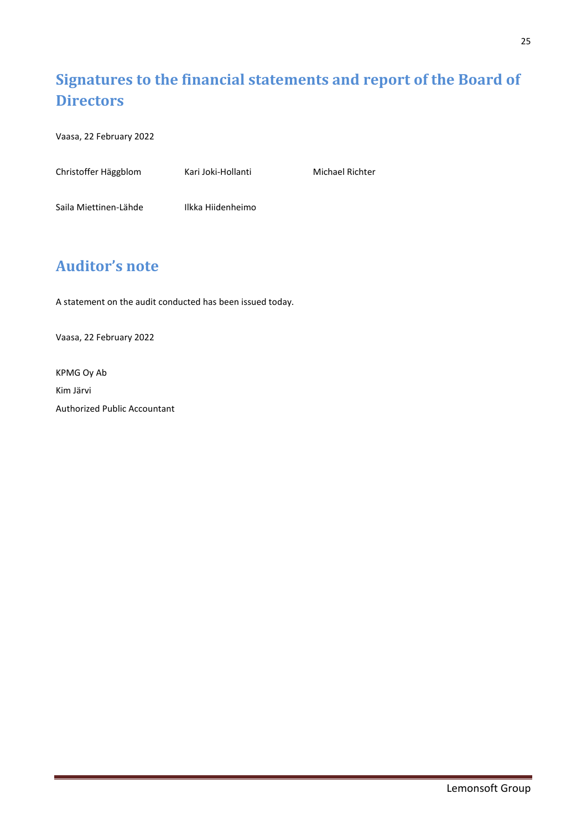# <span id="page-24-0"></span>**Signatures to the financial statements and report of the Board of Directors**

Vaasa, 22 February 2022

| Christoffer Häggblom  | Kari Joki-Hollanti | <b>Michael Richter</b> |
|-----------------------|--------------------|------------------------|
|                       |                    |                        |
| Saila Miettinen-Lähde | Ilkka Hiidenheimo  |                        |

## <span id="page-24-1"></span>**Auditor's note**

A statement on the audit conducted has been issued today.

Vaasa, 22 February 2022

KPMG Oy Ab Kim Järvi Authorized Public Accountant